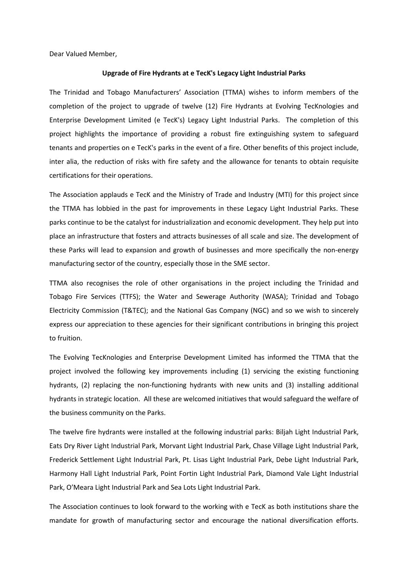Dear Valued Member,

## **Upgrade of Fire Hydrants at e TecK's Legacy Light Industrial Parks**

The Trinidad and Tobago Manufacturers' Association (TTMA) wishes to inform members of the completion of the project to upgrade of twelve (12) Fire Hydrants at Evolving TecKnologies and Enterprise Development Limited (e TecK's) Legacy Light Industrial Parks. The completion of this project highlights the importance of providing a robust fire extinguishing system to safeguard tenants and properties on e TecK's parks in the event of a fire. Other benefits of this project include, inter alia, the reduction of risks with fire safety and the allowance for tenants to obtain requisite certifications for their operations.

The Association applauds e TecK and the Ministry of Trade and Industry (MTI) for this project since the TTMA has lobbied in the past for improvements in these Legacy Light Industrial Parks. These parks continue to be the catalyst for industrialization and economic development. They help put into place an infrastructure that fosters and attracts businesses of all scale and size. The development of these Parks will lead to expansion and growth of businesses and more specifically the non-energy manufacturing sector of the country, especially those in the SME sector.

TTMA also recognises the role of other organisations in the project including the Trinidad and Tobago Fire Services (TTFS); the Water and Sewerage Authority (WASA); Trinidad and Tobago Electricity Commission (T&TEC); and the National Gas Company (NGC) and so we wish to sincerely express our appreciation to these agencies for their significant contributions in bringing this project to fruition.

The Evolving TecKnologies and Enterprise Development Limited has informed the TTMA that the project involved the following key improvements including (1) servicing the existing functioning hydrants, (2) replacing the non-functioning hydrants with new units and (3) installing additional hydrants in strategic location. All these are welcomed initiatives that would safeguard the welfare of the business community on the Parks.

The twelve fire hydrants were installed at the following industrial parks: Biljah Light Industrial Park, Eats Dry River Light Industrial Park, Morvant Light Industrial Park, Chase Village Light Industrial Park, Frederick Settlement Light Industrial Park, Pt. Lisas Light Industrial Park, Debe Light Industrial Park, Harmony Hall Light Industrial Park, Point Fortin Light Industrial Park, Diamond Vale Light Industrial Park, O'Meara Light Industrial Park and Sea Lots Light Industrial Park.

The Association continues to look forward to the working with e TecK as both institutions share the mandate for growth of manufacturing sector and encourage the national diversification efforts.